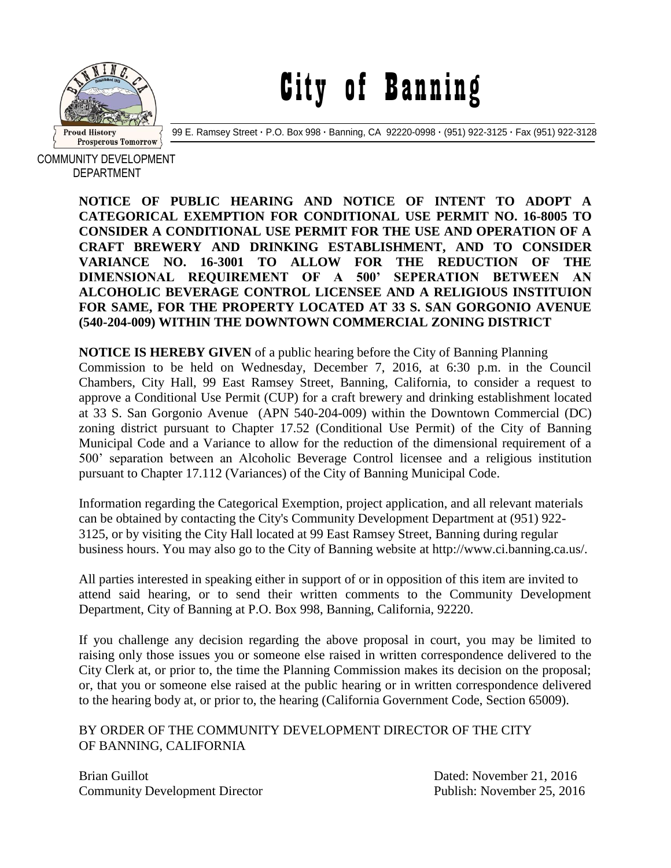

City of Banning

99 E. Ramsey Street **·** P.O. Box 998 **·** Banning, CA 92220-0998 **·** (951) 922-3125 **·** Fax (951) 922-3128

COMMUNITY DEVELOPMENT DEPARTMENT

> **NOTICE OF PUBLIC HEARING AND NOTICE OF INTENT TO ADOPT A CATEGORICAL EXEMPTION FOR CONDITIONAL USE PERMIT NO. 16-8005 TO CONSIDER A CONDITIONAL USE PERMIT FOR THE USE AND OPERATION OF A CRAFT BREWERY AND DRINKING ESTABLISHMENT, AND TO CONSIDER VARIANCE NO. 16-3001 TO ALLOW FOR THE REDUCTION OF THE DIMENSIONAL REQUIREMENT OF A 500' SEPERATION BETWEEN AN ALCOHOLIC BEVERAGE CONTROL LICENSEE AND A RELIGIOUS INSTITUION FOR SAME, FOR THE PROPERTY LOCATED AT 33 S. SAN GORGONIO AVENUE (540-204-009) WITHIN THE DOWNTOWN COMMERCIAL ZONING DISTRICT**

> **NOTICE IS HEREBY GIVEN** of a public hearing before the City of Banning Planning Commission to be held on Wednesday, December 7, 2016, at 6:30 p.m. in the Council Chambers, City Hall, 99 East Ramsey Street, Banning, California, to consider a request to approve a Conditional Use Permit (CUP) for a craft brewery and drinking establishment located at 33 S. San Gorgonio Avenue (APN 540-204-009) within the Downtown Commercial (DC) zoning district pursuant to Chapter 17.52 (Conditional Use Permit) of the City of Banning Municipal Code and a Variance to allow for the reduction of the dimensional requirement of a 500' separation between an Alcoholic Beverage Control licensee and a religious institution pursuant to Chapter 17.112 (Variances) of the City of Banning Municipal Code.

> Information regarding the Categorical Exemption, project application, and all relevant materials can be obtained by contacting the City's Community Development Department at (951) 922- 3125, or by visiting the City Hall located at 99 East Ramsey Street, Banning during regular business hours. You may also go to the City of Banning website at http://www.ci.banning.ca.us/.

> All parties interested in speaking either in support of or in opposition of this item are invited to attend said hearing, or to send their written comments to the Community Development Department, City of Banning at P.O. Box 998, Banning, California, 92220.

> If you challenge any decision regarding the above proposal in court, you may be limited to raising only those issues you or someone else raised in written correspondence delivered to the City Clerk at, or prior to, the time the Planning Commission makes its decision on the proposal; or, that you or someone else raised at the public hearing or in written correspondence delivered to the hearing body at, or prior to, the hearing (California Government Code, Section 65009).

BY ORDER OF THE COMMUNITY DEVELOPMENT DIRECTOR OF THE CITY OF BANNING, CALIFORNIA

Brian Guillot **Dated:** November 21, 2016 Community Development Director Publish: November 25, 2016